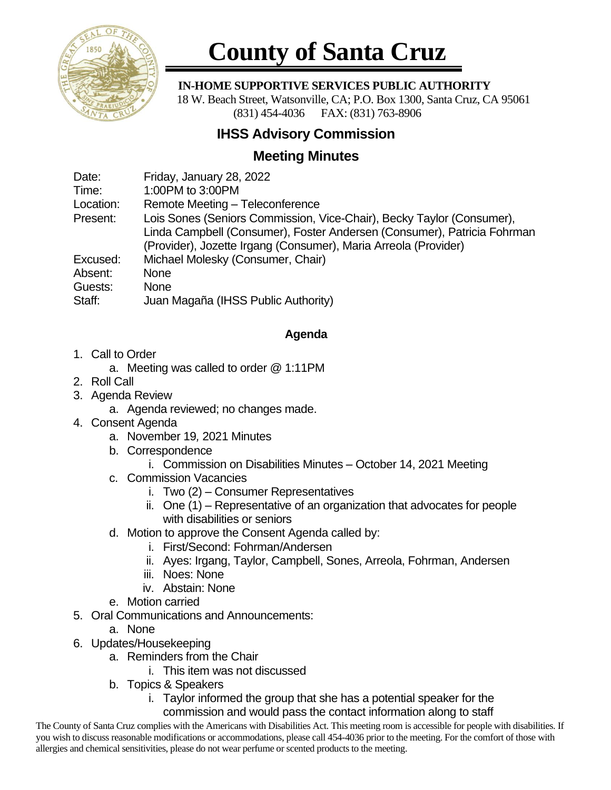

# **County of Santa Cruz**

#### **IN-HOME SUPPORTIVE SERVICES PUBLIC AUTHORITY**

 18 W. Beach Street, Watsonville, CA; P.O. Box 1300, Santa Cruz, CA 95061 (831) 454-4036 FAX: (831) 763-8906

## **IHSS Advisory Commission**

## **Meeting Minutes**

Date: Friday, January 28, 2022

Time: 1:00PM to 3:00PM

Location: Remote Meeting – Teleconference

Present: Lois Sones (Seniors Commission, Vice-Chair), Becky Taylor (Consumer), Linda Campbell (Consumer), Foster Andersen (Consumer), Patricia Fohrman (Provider), Jozette Irgang (Consumer), Maria Arreola (Provider)

Excused: Michael Molesky (Consumer, Chair)

Absent: None

Guests: None

Staff: Juan Magaña (IHSS Public Authority)

### **Agenda**

- 1. Call to Order
	- a. Meeting was called to order @ 1:11PM
- 2. Roll Call
- 3. Agenda Review
	- a. Agenda reviewed; no changes made.
- 4. Consent Agenda
	- a. November 19*,* 2021 Minutes
	- b. Correspondence
		- i. Commission on Disabilities Minutes October 14, 2021 Meeting
	- c. Commission Vacancies
		- i. Two (2) Consumer Representatives
		- ii. One (1) Representative of an organization that advocates for people with disabilities or seniors
	- d. Motion to approve the Consent Agenda called by:
		- i. First/Second: Fohrman/Andersen
		- ii. Ayes: Irgang, Taylor, Campbell, Sones, Arreola, Fohrman, Andersen
		- iii. Noes: None
		- iv. Abstain: None
	- e. Motion carried
- 5. Oral Communications and Announcements:
	- a. None
- 6. Updates/Housekeeping
	- a. Reminders from the Chair
		- i. This item was not discussed
	- b. Topics & Speakers
		- i. Taylor informed the group that she has a potential speaker for the commission and would pass the contact information along to staff

The County of Santa Cruz complies with the Americans with Disabilities Act. This meeting room is accessible for people with disabilities. If you wish to discuss reasonable modifications or accommodations, please call 454-4036 prior to the meeting. For the comfort of those with allergies and chemical sensitivities, please do not wear perfume or scented products to the meeting.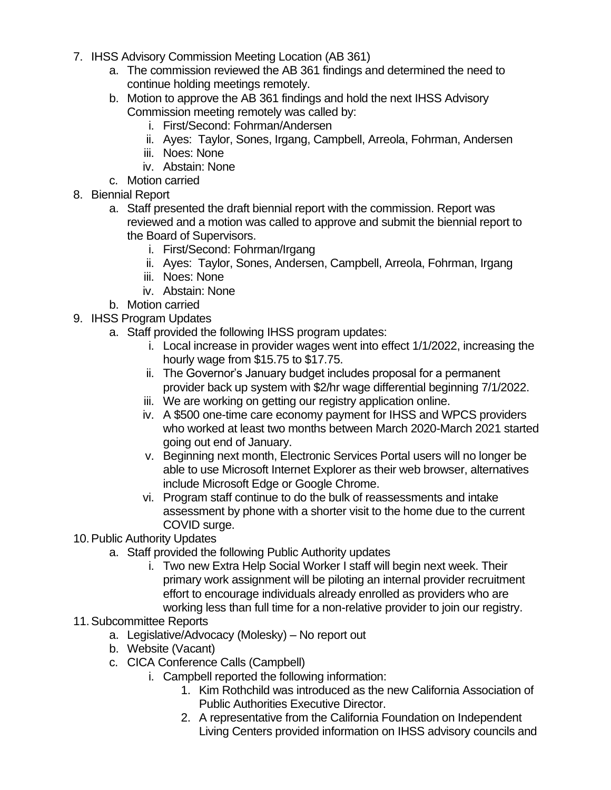- 7. IHSS Advisory Commission Meeting Location (AB 361)
	- a. The commission reviewed the AB 361 findings and determined the need to continue holding meetings remotely.
	- b. Motion to approve the AB 361 findings and hold the next IHSS Advisory Commission meeting remotely was called by:
		- i. First/Second: Fohrman/Andersen
		- ii. Ayes: Taylor, Sones, Irgang, Campbell, Arreola, Fohrman, Andersen
		- iii. Noes: None
		- iv. Abstain: None
	- c. Motion carried
- 8. Biennial Report
	- a. Staff presented the draft biennial report with the commission. Report was reviewed and a motion was called to approve and submit the biennial report to the Board of Supervisors.
		- i. First/Second: Fohrman/Irgang
		- ii. Ayes: Taylor, Sones, Andersen, Campbell, Arreola, Fohrman, Irgang
		- iii. Noes: None
		- iv. Abstain: None
	- b. Motion carried
- 9. IHSS Program Updates
	- a. Staff provided the following IHSS program updates:
		- i. Local increase in provider wages went into effect 1/1/2022, increasing the hourly wage from \$15.75 to \$17.75.
		- ii. The Governor's January budget includes proposal for a permanent provider back up system with \$2/hr wage differential beginning 7/1/2022.
		- iii. We are working on getting our registry application online.
		- iv. A \$500 one-time care economy payment for IHSS and WPCS providers who worked at least two months between March 2020-March 2021 started going out end of January.
		- v. Beginning next month, Electronic Services Portal users will no longer be able to use Microsoft Internet Explorer as their web browser, alternatives include Microsoft Edge or Google Chrome.
		- vi. Program staff continue to do the bulk of reassessments and intake assessment by phone with a shorter visit to the home due to the current COVID surge.
- 10.Public Authority Updates
	- a. Staff provided the following Public Authority updates
		- i. Two new Extra Help Social Worker I staff will begin next week. Their primary work assignment will be piloting an internal provider recruitment effort to encourage individuals already enrolled as providers who are working less than full time for a non-relative provider to join our registry.
- 11.Subcommittee Reports
	- a. Legislative/Advocacy (Molesky) No report out
	- b. Website (Vacant)
	- c. CICA Conference Calls (Campbell)
		- i. Campbell reported the following information:
			- 1. Kim Rothchild was introduced as the new California Association of Public Authorities Executive Director.
			- 2. A representative from the California Foundation on Independent Living Centers provided information on IHSS advisory councils and